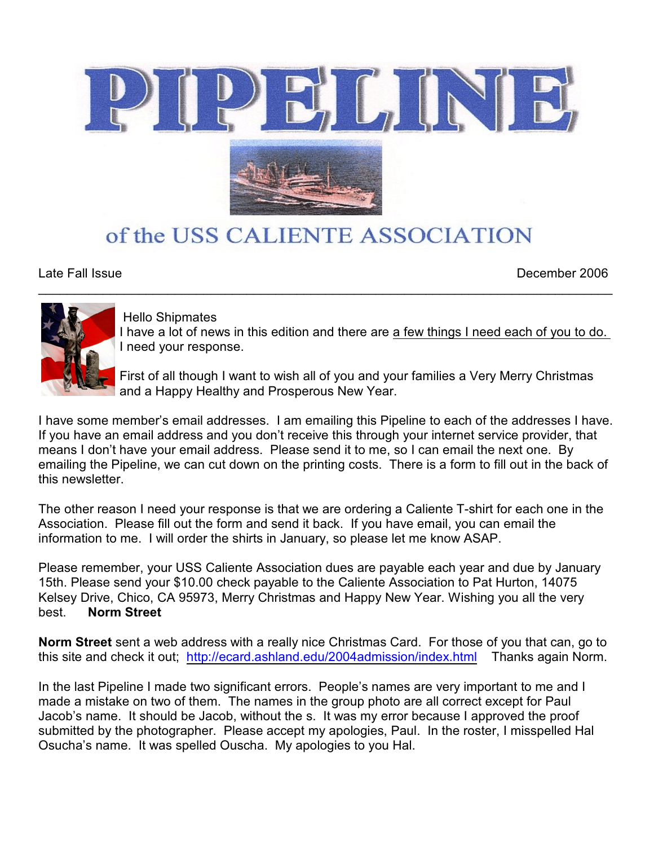



# of the USS CALIENTE ASSOCIATION

 $\mathcal{L}_\mathcal{L} = \{ \mathcal{L}_\mathcal{L} = \{ \mathcal{L}_\mathcal{L} = \{ \mathcal{L}_\mathcal{L} = \{ \mathcal{L}_\mathcal{L} = \{ \mathcal{L}_\mathcal{L} = \{ \mathcal{L}_\mathcal{L} = \{ \mathcal{L}_\mathcal{L} = \{ \mathcal{L}_\mathcal{L} = \{ \mathcal{L}_\mathcal{L} = \{ \mathcal{L}_\mathcal{L} = \{ \mathcal{L}_\mathcal{L} = \{ \mathcal{L}_\mathcal{L} = \{ \mathcal{L}_\mathcal{L} = \{ \mathcal{L}_\mathcal{$ 

Late Fall Issue December 2006



Hello Shipmates

I have a lot of news in this edition and there are a few things I need each of you to do. I need your response.

First of all though I want to wish all of you and your families a Very Merry Christmas and a Happy Healthy and Prosperous New Year.

I have some member's email addresses. I am emailing this Pipeline to each of the addresses I have. If you have an email address and you don't receive this through your internet service provider, that means I don't have your email address. Please send it to me, so I can email the next one. By emailing the Pipeline, we can cut down on the printing costs. There is a form to fill out in the back of this newsletter.

The other reason I need your response is that we are ordering a Caliente T-shirt for each one in the Association. Please fill out the form and send it back. If you have email, you can email the information to me. I will order the shirts in January, so please let me know ASAP.

Please remember, your USS Caliente Association dues are payable each year and due by January 15th. Please send your \$10.00 check payable to the Caliente Association to Pat Hurton, 14075 Kelsey Drive, Chico, CA 95973, Merry Christmas and Happy New Year. Wishing you all the very best. **Norm Street** 

**Norm Street** sent a web address with a really nice Christmas Card. For those of you that can, go to this site and check it out; <http://ecard.ashland.edu/2004admission/index.html> Thanks again Norm.

In the last Pipeline I made two significant errors. People's names are very important to me and I made a mistake on two of them. The names in the group photo are all correct except for Paul Jacob's name. It should be Jacob, without the s. It was my error because I approved the proof submitted by the photographer. Please accept my apologies, Paul. In the roster, I misspelled Hal Osucha's name. It was spelled Ouscha. My apologies to you Hal.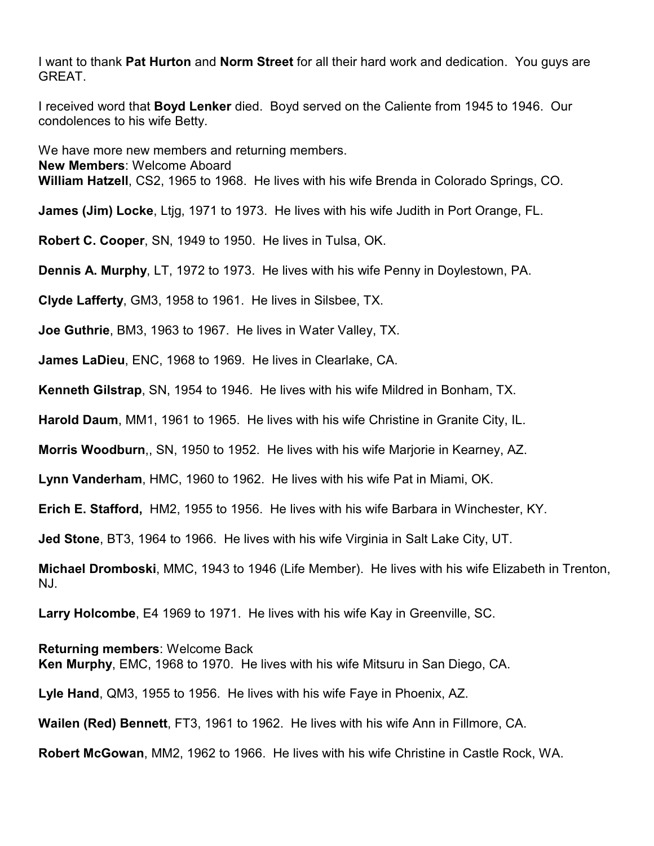I want to thank **Pat Hurton** and **Norm Street** for all their hard work and dedication. You guys are GREAT.

I received word that **Boyd Lenker** died. Boyd served on the Caliente from 1945 to 1946. Our condolences to his wife Betty.

We have more new members and returning members. **New Members**: Welcome Aboard **William Hatzell**, CS2, 1965 to 1968. He lives with his wife Brenda in Colorado Springs, CO.

**James (Jim) Locke**, Ltjg, 1971 to 1973. He lives with his wife Judith in Port Orange, FL.

**Robert C. Cooper**, SN, 1949 to 1950. He lives in Tulsa, OK.

**Dennis A. Murphy**, LT, 1972 to 1973. He lives with his wife Penny in Doylestown, PA.

**Clyde Lafferty**, GM3, 1958 to 1961. He lives in Silsbee, TX.

**Joe Guthrie**, BM3, 1963 to 1967. He lives in Water Valley, TX.

**James LaDieu**, ENC, 1968 to 1969. He lives in Clearlake, CA.

**Kenneth Gilstrap**, SN, 1954 to 1946. He lives with his wife Mildred in Bonham, TX.

**Harold Daum**, MM1, 1961 to 1965. He lives with his wife Christine in Granite City, IL.

**Morris Woodburn**,, SN, 1950 to 1952. He lives with his wife Marjorie in Kearney, AZ.

**Lynn Vanderham**, HMC, 1960 to 1962. He lives with his wife Pat in Miami, OK.

**Erich E. Stafford,** HM2, 1955 to 1956. He lives with his wife Barbara in Winchester, KY.

**Jed Stone**, BT3, 1964 to 1966. He lives with his wife Virginia in Salt Lake City, UT.

**Michael Dromboski**, MMC, 1943 to 1946 (Life Member). He lives with his wife Elizabeth in Trenton, NJ.

**Larry Holcombe**, E4 1969 to 1971. He lives with his wife Kay in Greenville, SC.

**Returning members**: Welcome Back **Ken Murphy**, EMC, 1968 to 1970. He lives with his wife Mitsuru in San Diego, CA.

**Lyle Hand**, QM3, 1955 to 1956. He lives with his wife Faye in Phoenix, AZ.

**Wailen (Red) Bennett**, FT3, 1961 to 1962. He lives with his wife Ann in Fillmore, CA.

**Robert McGowan**, MM2, 1962 to 1966. He lives with his wife Christine in Castle Rock, WA.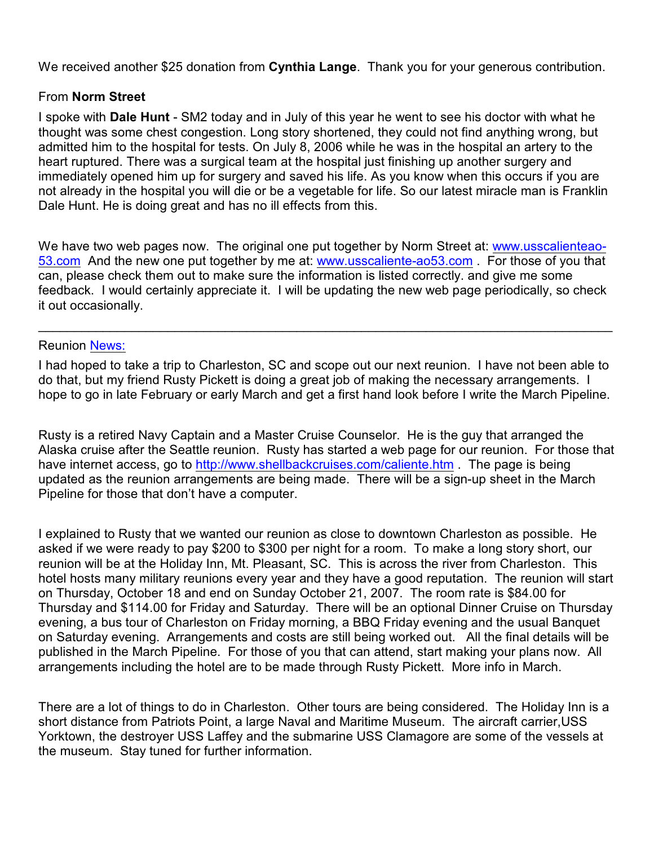We received another \$25 donation from **Cynthia Lange**. Thank you for your generous contribution.

# From **Norm Street**

I spoke with **Dale Hunt** - SM2 today and in July of this year he went to see his doctor with what he thought was some chest congestion. Long story shortened, they could not find anything wrong, but admitted him to the hospital for tests. On July 8, 2006 while he was in the hospital an artery to the heart ruptured. There was a surgical team at the hospital just finishing up another surgery and immediately opened him up for surgery and saved his life. As you know when this occurs if you are not already in the hospital you will die or be a vegetable for life. So our latest miracle man is Franklin Dale Hunt. He is doing great and has no ill effects from this.

We have two web pages now. The original one put together by Norm Street at: [www.usscalienteao-](http://www.usscalienteao-53.com)[53.com](http://www.usscalienteao-53.com) And the new one put together by me at: [www.usscaliente-ao53.com](http://www.usscaliente-ao53.com) . For those of you that can, please check them out to make sure the information is listed correctly. and give me some feedback. I would certainly appreciate it. I will be updating the new web page periodically, so check it out occasionally.

\_\_\_\_\_\_\_\_\_\_\_\_\_\_\_\_\_\_\_\_\_\_\_\_\_\_\_\_\_\_\_\_\_\_\_\_\_\_\_\_\_\_\_\_\_\_\_\_\_\_\_\_\_\_\_\_\_\_\_\_\_\_\_\_\_\_\_\_\_\_\_\_\_\_\_\_\_\_\_\_

## Reunion<News:>

I had hoped to take a trip to Charleston, SC and scope out our next reunion. I have not been able to do that, but my friend Rusty Pickett is doing a great job of making the necessary arrangements. I hope to go in late February or early March and get a first hand look before I write the March Pipeline.

Rusty is a retired Navy Captain and a Master Cruise Counselor. He is the guy that arranged the Alaska cruise after the Seattle reunion. Rusty has started a web page for our reunion. For those that have internet access, go to<http://www.shellbackcruises.com/caliente.htm> . The page is being updated as the reunion arrangements are being made. There will be a sign-up sheet in the March Pipeline for those that don't have a computer.

I explained to Rusty that we wanted our reunion as close to downtown Charleston as possible. He asked if we were ready to pay \$200 to \$300 per night for a room. To make a long story short, our reunion will be at the Holiday Inn, Mt. Pleasant, SC. This is across the river from Charleston. This hotel hosts many military reunions every year and they have a good reputation. The reunion will start on Thursday, October 18 and end on Sunday October 21, 2007. The room rate is \$84.00 for Thursday and \$114.00 for Friday and Saturday. There will be an optional Dinner Cruise on Thursday evening, a bus tour of Charleston on Friday morning, a BBQ Friday evening and the usual Banquet on Saturday evening. Arrangements and costs are still being worked out. All the final details will be published in the March Pipeline. For those of you that can attend, start making your plans now. All arrangements including the hotel are to be made through Rusty Pickett. More info in March.

There are a lot of things to do in Charleston. Other tours are being considered. The Holiday Inn is a short distance from Patriots Point, a large Naval and Maritime Museum. The aircraft carrier,USS Yorktown, the destroyer USS Laffey and the submarine USS Clamagore are some of the vessels at the museum. Stay tuned for further information.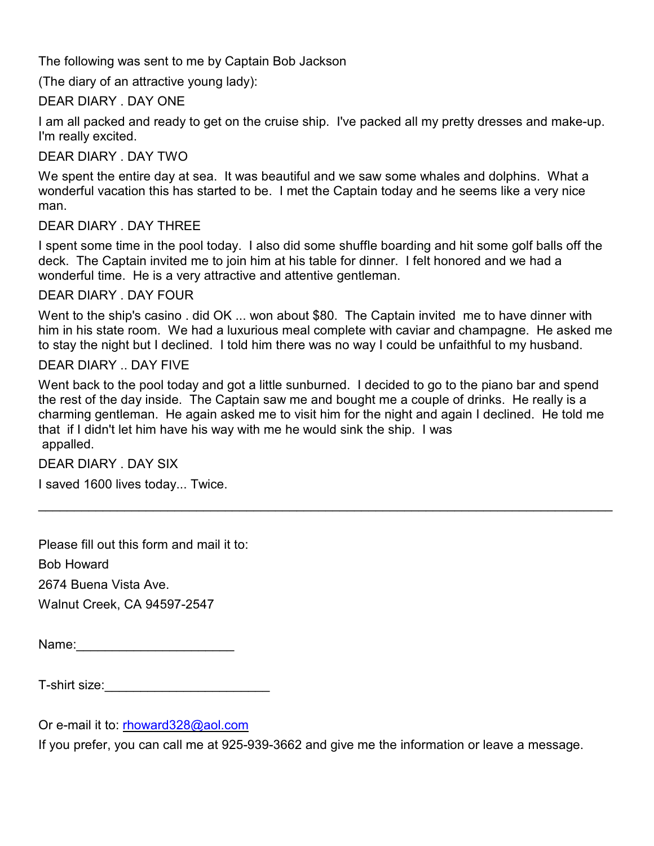The following was sent to me by Captain Bob Jackson

(The diary of an attractive young lady):

## DEAR DIARY . DAY ONE

I am all packed and ready to get on the cruise ship. I've packed all my pretty dresses and make-up. I'm really excited.

## DEAR DIARY . DAY TWO

We spent the entire day at sea. It was beautiful and we saw some whales and dolphins. What a wonderful vacation this has started to be. I met the Captain today and he seems like a very nice man.

## DEAR DIARY . DAY THREE

I spent some time in the pool today. I also did some shuffle boarding and hit some golf balls off the deck. The Captain invited me to join him at his table for dinner. I felt honored and we had a wonderful time. He is a very attractive and attentive gentleman.

#### DEAR DIARY . DAY FOUR

Went to the ship's casino . did OK ... won about \$80. The Captain invited me to have dinner with him in his state room. We had a luxurious meal complete with caviar and champagne. He asked me to stay the night but I declined. I told him there was no way I could be unfaithful to my husband.

#### DEAR DIARY .. DAY FIVE

Went back to the pool today and got a little sunburned. I decided to go to the piano bar and spend the rest of the day inside. The Captain saw me and bought me a couple of drinks. He really is a charming gentleman. He again asked me to visit him for the night and again I declined. He told me that if I didn't let him have his way with me he would sink the ship. I was appalled.

\_\_\_\_\_\_\_\_\_\_\_\_\_\_\_\_\_\_\_\_\_\_\_\_\_\_\_\_\_\_\_\_\_\_\_\_\_\_\_\_\_\_\_\_\_\_\_\_\_\_\_\_\_\_\_\_\_\_\_\_\_\_\_\_\_\_\_\_\_\_\_\_\_\_\_\_\_\_\_\_

## DEAR DIARY . DAY SIX

I saved 1600 lives today... Twice.

Please fill out this form and mail it to:

Bob Howard

2674 Buena Vista Ave.

Walnut Creek, CA 94597-2547

Name:\_\_\_\_\_\_\_\_\_\_\_\_\_\_\_\_\_\_\_\_\_\_

T-shirt size:\_\_\_\_\_\_\_\_\_\_\_\_\_\_\_\_\_\_\_\_\_\_\_

Or e-mail it to: [rhoward328@aol.com](mailto:rhoward328@aol.com)

If you prefer, you can call me at 925-939-3662 and give me the information or leave a message.